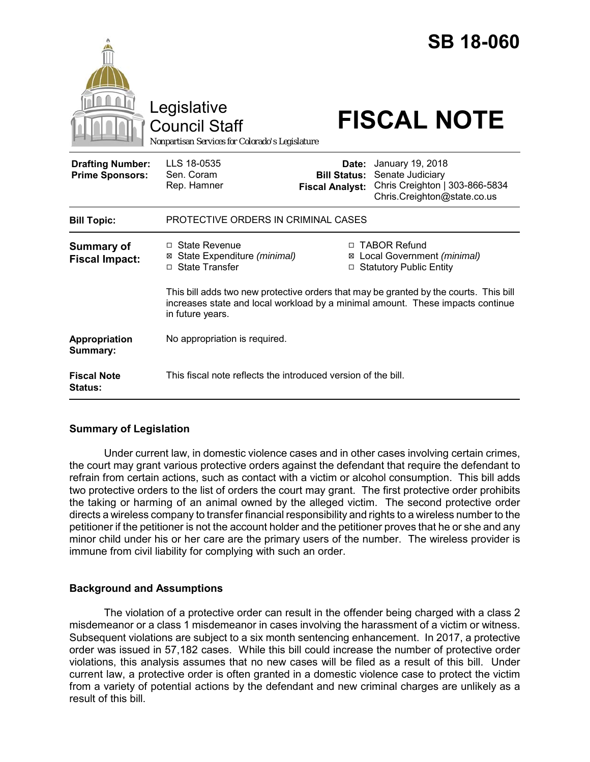|                                                   | Legislative<br><b>Council Staff</b><br>Nonpartisan Services for Colorado's Legislature             |                                                                                                                                                                         | <b>SB 18-060</b><br><b>FISCAL NOTE</b>                                                                |
|---------------------------------------------------|----------------------------------------------------------------------------------------------------|-------------------------------------------------------------------------------------------------------------------------------------------------------------------------|-------------------------------------------------------------------------------------------------------|
| <b>Drafting Number:</b><br><b>Prime Sponsors:</b> | LLS 18-0535<br>Sen. Coram<br>Rep. Hamner                                                           | Date:<br><b>Bill Status:</b><br><b>Fiscal Analyst:</b>                                                                                                                  | January 19, 2018<br>Senate Judiciary<br>Chris Creighton   303-866-5834<br>Chris.Creighton@state.co.us |
| <b>Bill Topic:</b>                                | PROTECTIVE ORDERS IN CRIMINAL CASES                                                                |                                                                                                                                                                         |                                                                                                       |
| <b>Summary of</b><br><b>Fiscal Impact:</b>        | □ State Revenue<br>State Expenditure (minimal)<br>⊠<br>□ State Transfer                            | □ TABOR Refund<br>Local Government (minimal)<br>⊠<br>□ Statutory Public Entity<br>This bill adds two new protective orders that may be granted by the courts. This bill |                                                                                                       |
|                                                   | increases state and local workload by a minimal amount. These impacts continue<br>in future years. |                                                                                                                                                                         |                                                                                                       |
| Appropriation<br>Summary:                         | No appropriation is required.                                                                      |                                                                                                                                                                         |                                                                                                       |
| <b>Fiscal Note</b><br><b>Status:</b>              | This fiscal note reflects the introduced version of the bill.                                      |                                                                                                                                                                         |                                                                                                       |

# **Summary of Legislation**

Under current law, in domestic violence cases and in other cases involving certain crimes, the court may grant various protective orders against the defendant that require the defendant to refrain from certain actions, such as contact with a victim or alcohol consumption. This bill adds two protective orders to the list of orders the court may grant. The first protective order prohibits the taking or harming of an animal owned by the alleged victim. The second protective order directs a wireless company to transfer financial responsibility and rights to a wireless number to the petitioner if the petitioner is not the account holder and the petitioner proves that he or she and any minor child under his or her care are the primary users of the number. The wireless provider is immune from civil liability for complying with such an order.

# **Background and Assumptions**

The violation of a protective order can result in the offender being charged with a class 2 misdemeanor or a class 1 misdemeanor in cases involving the harassment of a victim or witness. Subsequent violations are subject to a six month sentencing enhancement. In 2017, a protective order was issued in 57,182 cases. While this bill could increase the number of protective order violations, this analysis assumes that no new cases will be filed as a result of this bill. Under current law, a protective order is often granted in a domestic violence case to protect the victim from a variety of potential actions by the defendant and new criminal charges are unlikely as a result of this bill.